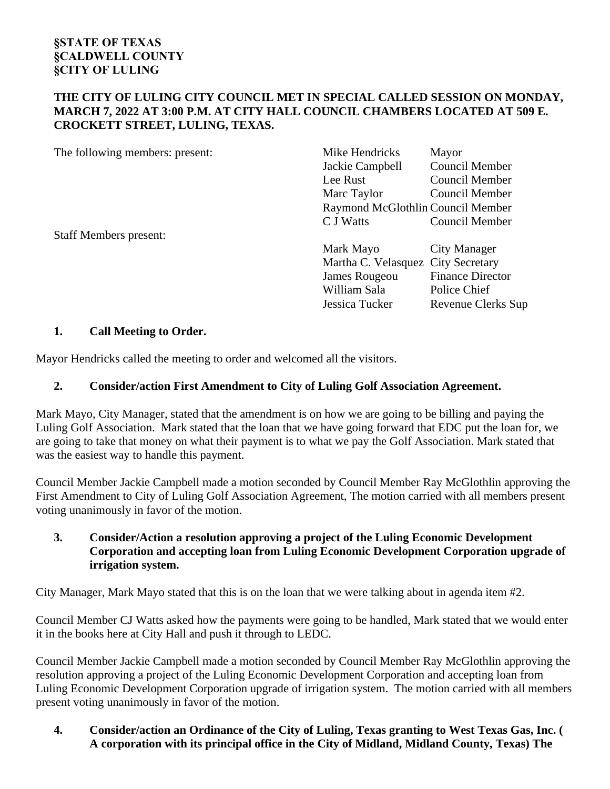## **THE CITY OF LULING CITY COUNCIL MET IN SPECIAL CALLED SESSION ON MONDAY, MARCH 7, 2022 AT 3:00 P.M. AT CITY HALL COUNCIL CHAMBERS LOCATED AT 509 E. CROCKETT STREET, LULING, TEXAS.**

| The following members: present: | Mike Hendricks                     | Mayor                             |  |
|---------------------------------|------------------------------------|-----------------------------------|--|
|                                 | Jackie Campbell                    | Council Member                    |  |
|                                 | Lee Rust                           | Council Member                    |  |
|                                 | Marc Taylor                        | Council Member                    |  |
|                                 |                                    | Raymond McGlothlin Council Member |  |
|                                 | C J Watts                          | <b>Council Member</b>             |  |
| <b>Staff Members present:</b>   |                                    |                                   |  |
|                                 | Mark Mayo                          | City Manager                      |  |
|                                 | Martha C. Velasquez City Secretary |                                   |  |
|                                 | James Rougeou                      | <b>Finance Director</b>           |  |
|                                 | William Sala                       | Police Chief                      |  |
|                                 | Jessica Tucker                     | <b>Revenue Clerks Sup</b>         |  |

# **1. Call Meeting to Order.**

Mayor Hendricks called the meeting to order and welcomed all the visitors.

## **2. Consider/action First Amendment to City of Luling Golf Association Agreement.**

Mark Mayo, City Manager, stated that the amendment is on how we are going to be billing and paying the Luling Golf Association. Mark stated that the loan that we have going forward that EDC put the loan for, we are going to take that money on what their payment is to what we pay the Golf Association. Mark stated that was the easiest way to handle this payment.

Council Member Jackie Campbell made a motion seconded by Council Member Ray McGlothlin approving the First Amendment to City of Luling Golf Association Agreement, The motion carried with all members present voting unanimously in favor of the motion.

## **3. Consider/Action a resolution approving a project of the Luling Economic Development Corporation and accepting loan from Luling Economic Development Corporation upgrade of irrigation system.**

City Manager, Mark Mayo stated that this is on the loan that we were talking about in agenda item #2.

Council Member CJ Watts asked how the payments were going to be handled, Mark stated that we would enter it in the books here at City Hall and push it through to LEDC.

Council Member Jackie Campbell made a motion seconded by Council Member Ray McGlothlin approving the resolution approving a project of the Luling Economic Development Corporation and accepting loan from Luling Economic Development Corporation upgrade of irrigation system. The motion carried with all members present voting unanimously in favor of the motion.

**4. Consider/action an Ordinance of the City of Luling, Texas granting to West Texas Gas, Inc. ( A corporation with its principal office in the City of Midland, Midland County, Texas) The**